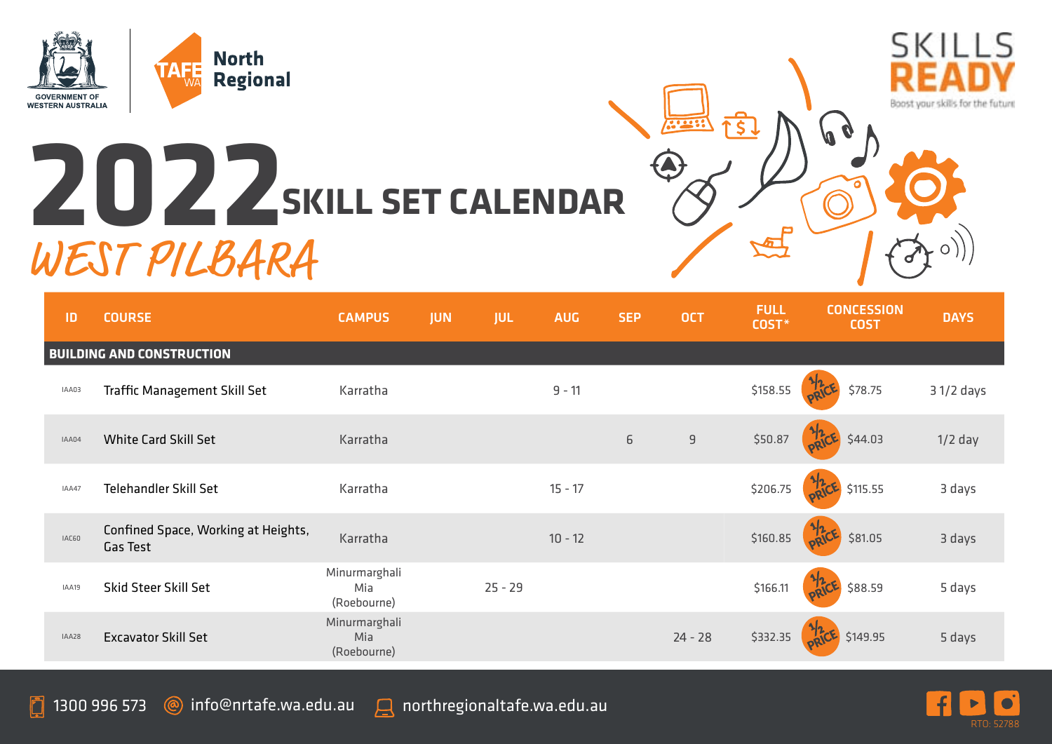

## **2022 SKILL SET CALENDAR** WEST PILBARA



| $31/2$ days |
|-------------|
|             |
|             |
| $1/2$ day   |
| 3 days      |
| 3 days      |
| 5 days      |
| 5 days      |
|             |

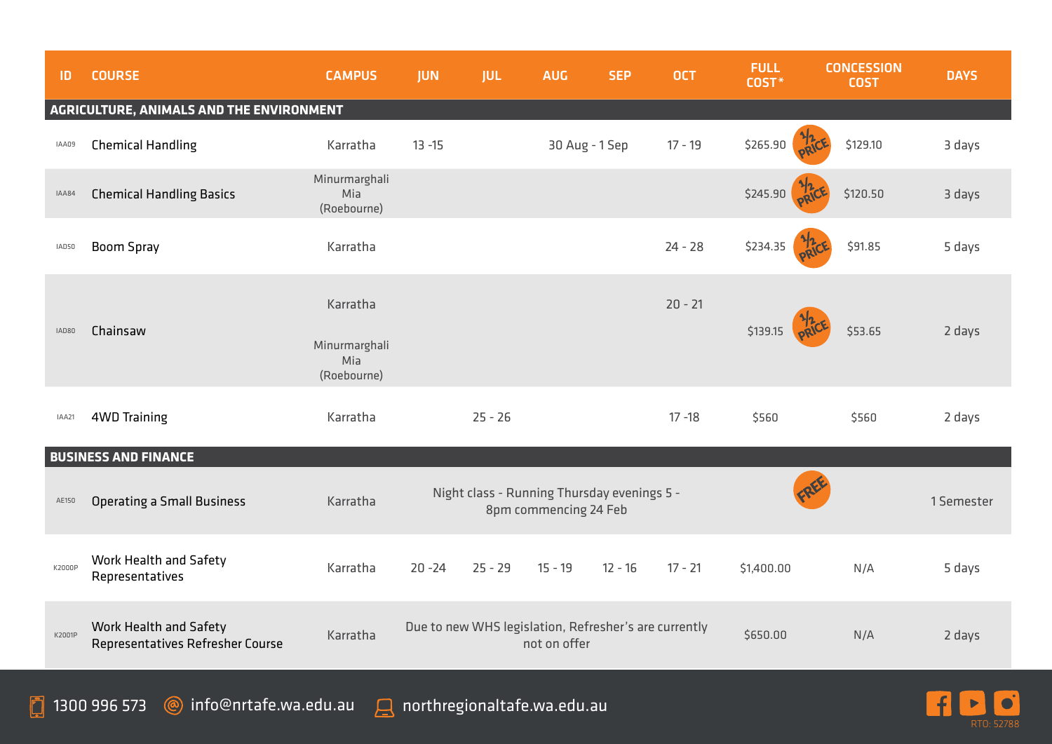| ID                                       | <b>COURSE</b>                                              | <b>CAMPUS</b>                       | <b>JUN</b> | <b>JUL</b> | <b>AUG</b>                                                            | <b>SEP</b> | <b>OCT</b> | <b>FULL</b><br>COST* | <b>CONCESSION</b><br><b>COST</b> | <b>DAYS</b> |  |  |
|------------------------------------------|------------------------------------------------------------|-------------------------------------|------------|------------|-----------------------------------------------------------------------|------------|------------|----------------------|----------------------------------|-------------|--|--|
| AGRICULTURE, ANIMALS AND THE ENVIRONMENT |                                                            |                                     |            |            |                                                                       |            |            |                      |                                  |             |  |  |
| IAA09                                    | <b>Chemical Handling</b>                                   | Karratha                            | $13 - 15$  |            | 30 Aug - 1 Sep                                                        |            | $17 - 19$  | \$265.90             | \$129.10                         | 3 days      |  |  |
| IAA84                                    | <b>Chemical Handling Basics</b>                            | Minurmarghali<br>Mia<br>(Roebourne) |            |            |                                                                       |            |            | \$245.90             | \$120.50                         | 3 days      |  |  |
| IAD50                                    | <b>Boom Spray</b>                                          | Karratha                            |            |            |                                                                       |            | $24 - 28$  | \$234.35             | \$91.85                          | 5 days      |  |  |
| IAD80                                    | Chainsaw                                                   | Karratha                            |            |            |                                                                       |            | $20 - 21$  | \$139.15             | \$53.65                          | 2 days      |  |  |
|                                          |                                                            | Minurmarghali<br>Mia<br>(Roebourne) |            |            |                                                                       |            |            |                      |                                  |             |  |  |
| IAA21                                    | <b>4WD Training</b>                                        | Karratha                            |            | $25 - 26$  |                                                                       |            | $17 - 18$  | \$560                | \$560                            | 2 days      |  |  |
|                                          | <b>BUSINESS AND FINANCE</b>                                |                                     |            |            |                                                                       |            |            |                      |                                  |             |  |  |
| AE150                                    | <b>Operating a Small Business</b>                          | Karratha                            |            |            | Night class - Running Thursday evenings 5 -<br>8pm commencing 24 Feb  |            |            |                      |                                  | 1 Semester  |  |  |
| K2000P                                   | Work Health and Safety<br>Representatives                  | Karratha                            | $20 - 24$  | $25 - 29$  | $15 - 19$                                                             | $12 - 16$  | $17 - 21$  | \$1,400.00           | N/A                              | 5 days      |  |  |
| K2001P                                   | Work Health and Safety<br>Representatives Refresher Course | Karratha                            |            |            | Due to new WHS legislation, Refresher's are currently<br>not on offer |            |            | \$650.00             | N/A                              | 2 days      |  |  |

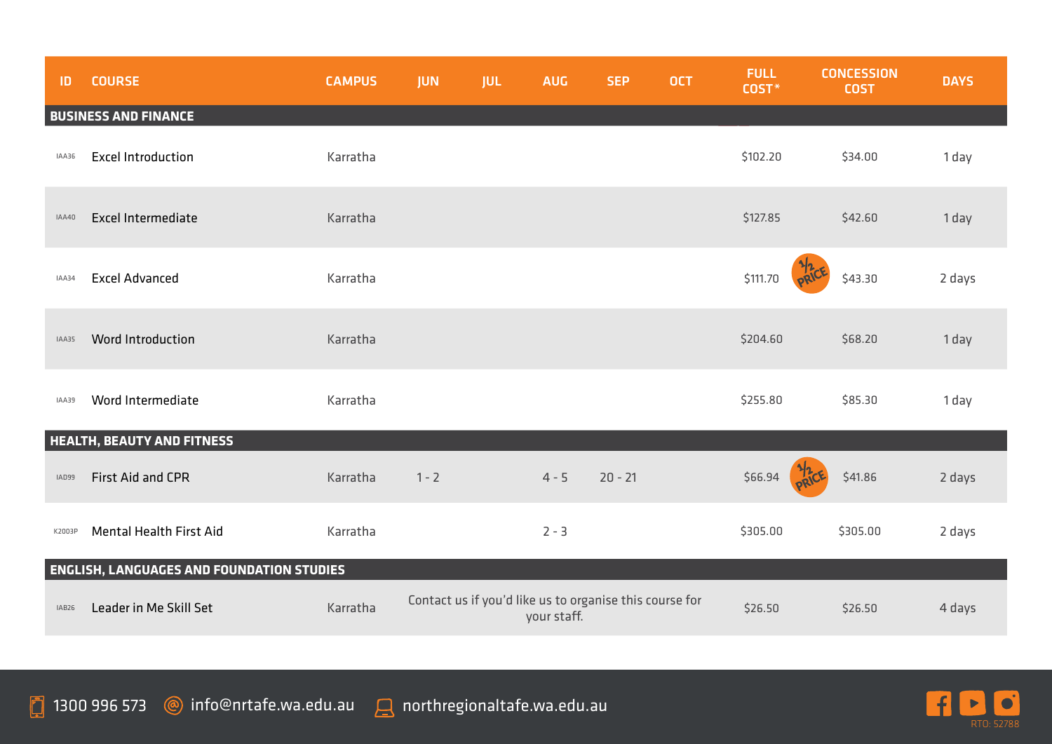| ID     | <b>COURSE</b>                                    | <b>CAMPUS</b> | <b>JUN</b> | <b>JUL</b> | <b>AUG</b>  | <b>SEP</b>                                              | <b>OCT</b> | <b>FULL</b><br>COST* | <b>CONCESSION</b><br><b>COST</b> | <b>DAYS</b> |
|--------|--------------------------------------------------|---------------|------------|------------|-------------|---------------------------------------------------------|------------|----------------------|----------------------------------|-------------|
|        | <b>BUSINESS AND FINANCE</b>                      |               |            |            |             |                                                         |            |                      |                                  |             |
| IAA36  | <b>Excel Introduction</b>                        | Karratha      |            |            |             |                                                         |            | \$102.20             | \$34.00                          | 1 day       |
| IAA40  | <b>Excel Intermediate</b>                        | Karratha      |            |            |             |                                                         |            | \$127.85             | \$42.60                          | 1 day       |
| IAA34  | <b>Excel Advanced</b>                            | Karratha      |            |            |             |                                                         |            | \$111.70             | \$43.30                          | 2 days      |
| IAA35  | Word Introduction                                | Karratha      |            |            |             |                                                         |            | \$204.60             | \$68.20                          | 1 day       |
| IAA39  | Word Intermediate                                | Karratha      |            |            |             |                                                         |            | \$255.80             | \$85.30                          | 1 day       |
|        | <b>HEALTH, BEAUTY AND FITNESS</b>                |               |            |            |             |                                                         |            |                      |                                  |             |
| IAD99  | <b>First Aid and CPR</b>                         | Karratha      | $1 - 2$    |            | $4 - 5$     | $20 - 21$                                               |            | \$66.94              | \$41.86                          | 2 days      |
| K2003P | Mental Health First Aid                          | Karratha      |            |            | $2 - 3$     |                                                         |            | \$305.00             | \$305.00                         | 2 days      |
|        | <b>ENGLISH, LANGUAGES AND FOUNDATION STUDIES</b> |               |            |            |             |                                                         |            |                      |                                  |             |
| IAB26  | Leader in Me Skill Set                           | Karratha      |            |            | your staff. | Contact us if you'd like us to organise this course for |            | \$26.50              | \$26.50                          | 4 days      |